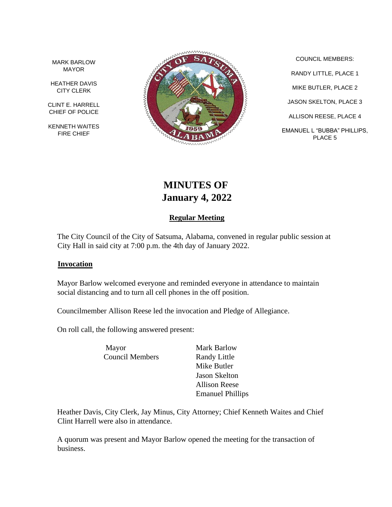MARK BARLOW MAYOR

HEATHER DAVIS CITY CLERK

CLINT E. HARRELL CHIEF OF POLICE

KENNETH WAITES FIRE CHIEF



COUNCIL MEMBERS: RANDY LITTLE, PLACE 1 MIKE BUTLER, PLACE 2 JASON SKELTON, PLACE 3 ALLISON REESE, PLACE 4 EMANUEL L "BUBBA" PHILLIPS, PLACE 5

# **MINUTES OF January 4, 2022**

# **Regular Meeting**

The City Council of the City of Satsuma, Alabama, convened in regular public session at City Hall in said city at 7:00 p.m. the 4th day of January 2022.

#### **Invocation**

Mayor Barlow welcomed everyone and reminded everyone in attendance to maintain social distancing and to turn all cell phones in the off position.

Councilmember Allison Reese led the invocation and Pledge of Allegiance.

On roll call, the following answered present:

Mayor Mark Barlow Council Members Randy Little

Mike Butler Jason Skelton Allison Reese Emanuel Phillips

Heather Davis, City Clerk, Jay Minus, City Attorney; Chief Kenneth Waites and Chief Clint Harrell were also in attendance.

A quorum was present and Mayor Barlow opened the meeting for the transaction of business.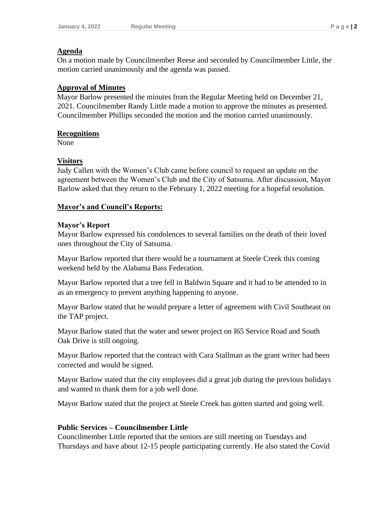## **Agenda**

On a motion made by Councilmember Reese and seconded by Councilmember Little, the motion carried unanimously and the agenda was passed.

## **Approval of Minutes**

Mayor Barlow presented the minutes from the Regular Meeting held on December 21, 2021. Councilmember Randy Little made a motion to approve the minutes as presented. Councilmember Phillips seconded the motion and the motion carried unanimously.

#### **Recognitions**

None

## **Visitors**

Judy Callen with the Women's Club came before council to request an update on the agreement between the Women's Club and the City of Satsuma. After discussion, Mayor Barlow asked that they return to the February 1, 2022 meeting for a hopeful resolution.

#### **Mayor's and Council's Reports:**

#### **Mayor's Report**

Mayor Barlow expressed his condolences to several families on the death of their loved ones throughout the City of Satsuma.

Mayor Barlow reported that there would be a tournament at Steele Creek this coming weekend held by the Alabama Bass Federation.

Mayor Barlow reported that a tree fell in Baldwin Square and it had to be attended to in as an emergency to prevent anything happening to anyone.

Mayor Barlow stated that he would prepare a letter of agreement with Civil Southeast on the TAP project.

Mayor Barlow stated that the water and sewer project on I65 Service Road and South Oak Drive is still ongoing.

Mayor Barlow reported that the contract with Cara Stallman as the grant writer had been corrected and would be signed.

Mayor Barlow stated that the city employees did a great job during the previous holidays and wanted to thank them for a job well done.

Mayor Barlow stated that the project at Steele Creek has gotten started and going well.

# **Public Services – Councilmember Little**

Councilmember Little reported that the seniors are still meeting on Tuesdays and Thursdays and have about 12-15 people participating currently. He also stated the Covid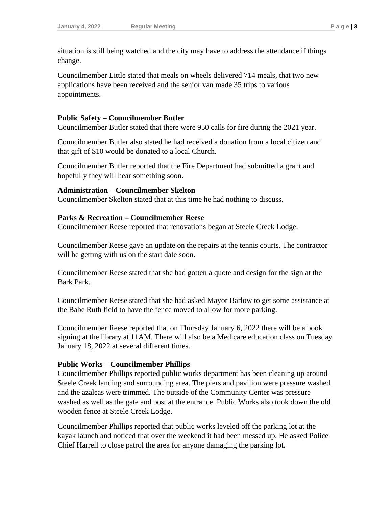situation is still being watched and the city may have to address the attendance if things change.

Councilmember Little stated that meals on wheels delivered 714 meals, that two new applications have been received and the senior van made 35 trips to various appointments.

#### **Public Safety – Councilmember Butler**

Councilmember Butler stated that there were 950 calls for fire during the 2021 year.

Councilmember Butler also stated he had received a donation from a local citizen and that gift of \$10 would be donated to a local Church.

Councilmember Butler reported that the Fire Department had submitted a grant and hopefully they will hear something soon.

#### **Administration – Councilmember Skelton**

Councilmember Skelton stated that at this time he had nothing to discuss.

#### **Parks & Recreation – Councilmember Reese**

Councilmember Reese reported that renovations began at Steele Creek Lodge.

Councilmember Reese gave an update on the repairs at the tennis courts. The contractor will be getting with us on the start date soon.

Councilmember Reese stated that she had gotten a quote and design for the sign at the Bark Park.

Councilmember Reese stated that she had asked Mayor Barlow to get some assistance at the Babe Ruth field to have the fence moved to allow for more parking.

Councilmember Reese reported that on Thursday January 6, 2022 there will be a book signing at the library at 11AM. There will also be a Medicare education class on Tuesday January 18, 2022 at several different times.

#### **Public Works – Councilmember Phillips**

Councilmember Phillips reported public works department has been cleaning up around Steele Creek landing and surrounding area. The piers and pavilion were pressure washed and the azaleas were trimmed. The outside of the Community Center was pressure washed as well as the gate and post at the entrance. Public Works also took down the old wooden fence at Steele Creek Lodge.

Councilmember Phillips reported that public works leveled off the parking lot at the kayak launch and noticed that over the weekend it had been messed up. He asked Police Chief Harrell to close patrol the area for anyone damaging the parking lot.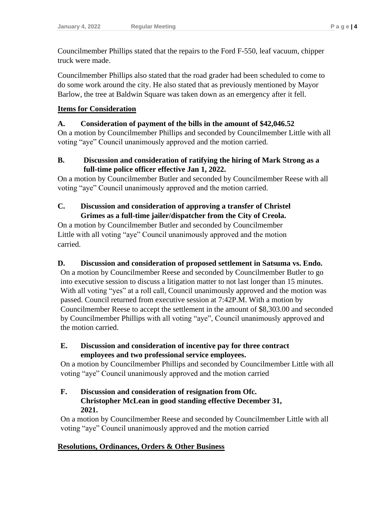Councilmember Phillips stated that the repairs to the Ford F-550, leaf vacuum, chipper truck were made.

Councilmember Phillips also stated that the road grader had been scheduled to come to do some work around the city. He also stated that as previously mentioned by Mayor Barlow, the tree at Baldwin Square was taken down as an emergency after it fell.

## **Items for Consideration**

## **A. Consideration of payment of the bills in the amount of \$42,046.52**

On a motion by Councilmember Phillips and seconded by Councilmember Little with all voting "aye" Council unanimously approved and the motion carried.

## **B. Discussion and consideration of ratifying the hiring of Mark Strong as a full-time police officer effective Jan 1, 2022.**

On a motion by Councilmember Butler and seconded by Councilmember Reese with all voting "aye" Council unanimously approved and the motion carried.

# **C. Discussion and consideration of approving a transfer of Christel Grimes as a full-time jailer/dispatcher from the City of Creola.**

On a motion by Councilmember Butler and seconded by Councilmember Little with all voting "aye" Council unanimously approved and the motion carried.

# **D. Discussion and consideration of proposed settlement in Satsuma vs. Endo.**

On a motion by Councilmember Reese and seconded by Councilmember Butler to go into executive session to discuss a litigation matter to not last longer than 15 minutes. With all voting "yes" at a roll call, Council unanimously approved and the motion was passed. Council returned from executive session at 7:42P.M. With a motion by Councilmember Reese to accept the settlement in the amount of \$8,303.00 and seconded by Councilmember Phillips with all voting "aye", Council unanimously approved and the motion carried.

# **E. Discussion and consideration of incentive pay for three contract employees and two professional service employees.**

On a motion by Councilmember Phillips and seconded by Councilmember Little with all voting "aye" Council unanimously approved and the motion carried

## **F. Discussion and consideration of resignation from Ofc. Christopher McLean in good standing effective December 31, 2021.**

On a motion by Councilmember Reese and seconded by Councilmember Little with all voting "aye" Council unanimously approved and the motion carried

# **Resolutions, Ordinances, Orders & Other Business**